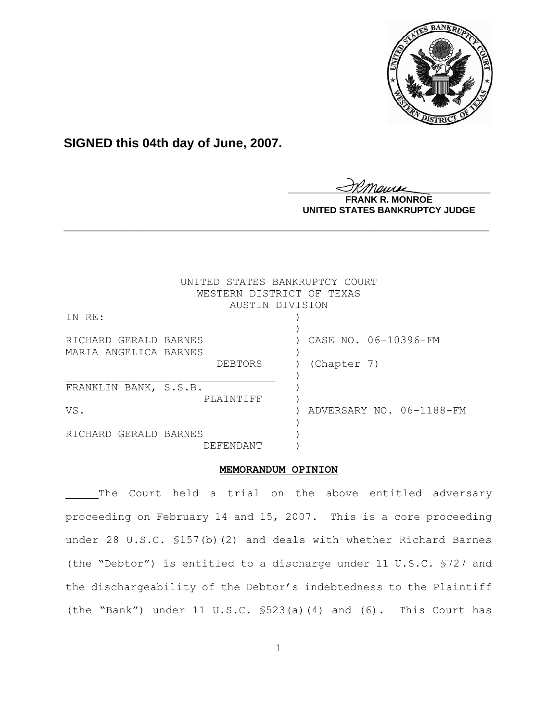

# **SIGNED this 04th day of June, 2007.**

<u>IKThemse</u> **ONROE** 

**UNITED STATES BANKRUPTCY JUDGE**

|                       | UNITED STATES BANKRUPTCY COURT<br>WESTERN DISTRICT OF TEXAS |             |  |                          |
|-----------------------|-------------------------------------------------------------|-------------|--|--------------------------|
|                       | AUSTIN DIVISION                                             |             |  |                          |
| IN RE:                |                                                             |             |  |                          |
|                       |                                                             |             |  |                          |
| RICHARD GERALD BARNES |                                                             |             |  | CASE NO. 06-10396-FM     |
| MARIA ANGELICA BARNES |                                                             |             |  |                          |
|                       | DEBTORS                                                     | (Chapter 7) |  |                          |
|                       |                                                             |             |  |                          |
| FRANKLIN BANK, S.S.B. |                                                             |             |  |                          |
|                       | PLAINTIFF                                                   |             |  |                          |
| VS.                   |                                                             |             |  | ADVERSARY NO. 06-1188-FM |
|                       |                                                             |             |  |                          |
| RICHARD GERALD BARNES |                                                             |             |  |                          |
|                       | DEFENDANT                                                   |             |  |                          |

**\_\_\_\_\_\_\_\_\_\_\_\_\_\_\_\_\_\_\_\_\_\_\_\_\_\_\_\_\_\_\_\_\_\_\_\_\_\_\_\_\_\_\_\_\_\_\_\_\_\_\_\_\_\_\_\_\_\_\_\_**

## **MEMORANDUM OPINION**

The Court held a trial on the above entitled adversary proceeding on February 14 and 15, 2007. This is a core proceeding under 28 U.S.C. §157(b)(2) and deals with whether Richard Barnes (the "Debtor") is entitled to a discharge under 11 U.S.C. §727 and the dischargeability of the Debtor's indebtedness to the Plaintiff (the "Bank") under 11 U.S.C. §523(a)(4) and (6). This Court has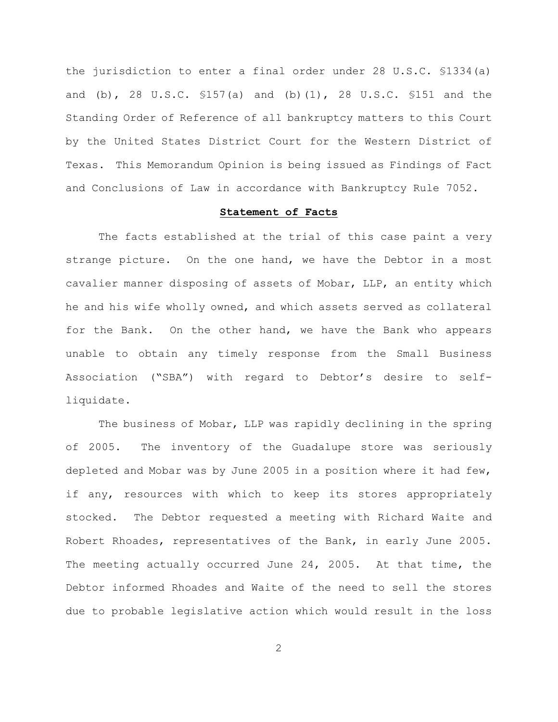the jurisdiction to enter a final order under 28 U.S.C. §1334(a) and (b), 28 U.S.C.  $$157(a)$  and (b)(1), 28 U.S.C.  $$151$  and the Standing Order of Reference of all bankruptcy matters to this Court by the United States District Court for the Western District of Texas. This Memorandum Opinion is being issued as Findings of Fact and Conclusions of Law in accordance with Bankruptcy Rule 7052.

#### **Statement of Facts**

The facts established at the trial of this case paint a very strange picture. On the one hand, we have the Debtor in a most cavalier manner disposing of assets of Mobar, LLP, an entity which he and his wife wholly owned, and which assets served as collateral for the Bank. On the other hand, we have the Bank who appears unable to obtain any timely response from the Small Business Association ("SBA") with regard to Debtor's desire to selfliquidate.

The business of Mobar, LLP was rapidly declining in the spring of 2005. The inventory of the Guadalupe store was seriously depleted and Mobar was by June 2005 in a position where it had few, if any, resources with which to keep its stores appropriately stocked. The Debtor requested a meeting with Richard Waite and Robert Rhoades, representatives of the Bank, in early June 2005. The meeting actually occurred June 24, 2005. At that time, the Debtor informed Rhoades and Waite of the need to sell the stores due to probable legislative action which would result in the loss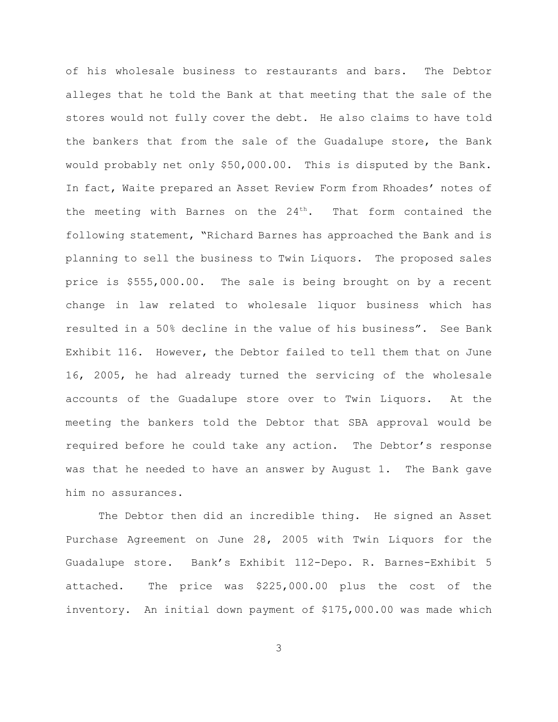of his wholesale business to restaurants and bars. The Debtor alleges that he told the Bank at that meeting that the sale of the stores would not fully cover the debt. He also claims to have told the bankers that from the sale of the Guadalupe store, the Bank would probably net only \$50,000.00. This is disputed by the Bank. In fact, Waite prepared an Asset Review Form from Rhoades' notes of the meeting with Barnes on the  $24<sup>th</sup>$ . That form contained the following statement, "Richard Barnes has approached the Bank and is planning to sell the business to Twin Liquors. The proposed sales price is \$555,000.00. The sale is being brought on by a recent change in law related to wholesale liquor business which has resulted in a 50% decline in the value of his business". See Bank Exhibit 116. However, the Debtor failed to tell them that on June 16, 2005, he had already turned the servicing of the wholesale accounts of the Guadalupe store over to Twin Liquors. At the meeting the bankers told the Debtor that SBA approval would be required before he could take any action. The Debtor's response was that he needed to have an answer by August 1. The Bank gave him no assurances.

The Debtor then did an incredible thing. He signed an Asset Purchase Agreement on June 28, 2005 with Twin Liquors for the Guadalupe store. Bank's Exhibit 112-Depo. R. Barnes-Exhibit 5 attached. The price was \$225,000.00 plus the cost of the inventory. An initial down payment of \$175,000.00 was made which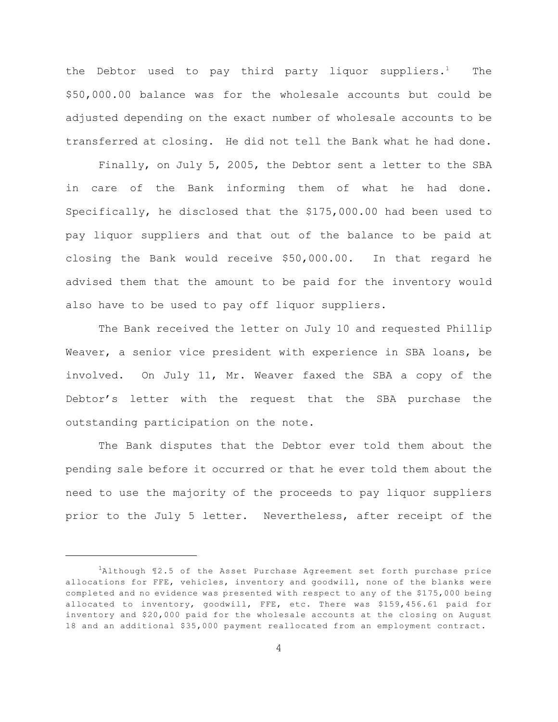the Debtor used to pay third party liquor suppliers.<sup>1</sup> The \$50,000.00 balance was for the wholesale accounts but could be adjusted depending on the exact number of wholesale accounts to be transferred at closing. He did not tell the Bank what he had done.

Finally, on July 5, 2005, the Debtor sent a letter to the SBA in care of the Bank informing them of what he had done. Specifically, he disclosed that the \$175,000.00 had been used to pay liquor suppliers and that out of the balance to be paid at closing the Bank would receive \$50,000.00. In that regard he advised them that the amount to be paid for the inventory would also have to be used to pay off liquor suppliers.

The Bank received the letter on July 10 and requested Phillip Weaver, a senior vice president with experience in SBA loans, be involved. On July 11, Mr. Weaver faxed the SBA a copy of the Debtor's letter with the request that the SBA purchase the outstanding participation on the note.

The Bank disputes that the Debtor ever told them about the pending sale before it occurred or that he ever told them about the need to use the majority of the proceeds to pay liquor suppliers prior to the July 5 letter. Nevertheless, after receipt of the

 $1$ Although  $12.5$  of the Asset Purchase Agreement set forth purchase price allocations for FFE, vehicles, inventory and goodwill, none of the blanks were completed and no evidence was presented with respect to any of the \$175,000 being allocated to inventory, goodwill, FFE, etc. There was \$159,456.61 paid for inventory and \$20,000 paid for the wholesale accounts at the closing on August 18 and an additional \$35,000 payment reallocated from an employment contract.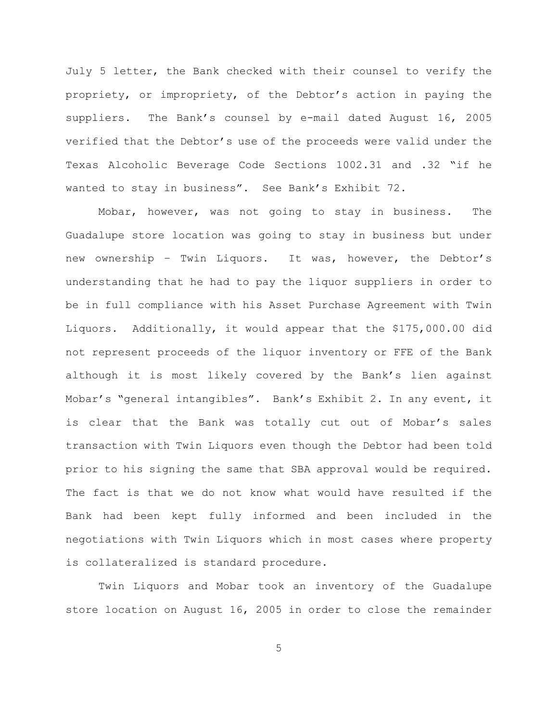July 5 letter, the Bank checked with their counsel to verify the propriety, or impropriety, of the Debtor's action in paying the suppliers. The Bank's counsel by e-mail dated August 16, 2005 verified that the Debtor's use of the proceeds were valid under the Texas Alcoholic Beverage Code Sections 1002.31 and .32 "if he wanted to stay in business". See Bank's Exhibit 72.

Mobar, however, was not going to stay in business. The Guadalupe store location was going to stay in business but under new ownership – Twin Liquors. It was, however, the Debtor's understanding that he had to pay the liquor suppliers in order to be in full compliance with his Asset Purchase Agreement with Twin Liquors. Additionally, it would appear that the \$175,000.00 did not represent proceeds of the liquor inventory or FFE of the Bank although it is most likely covered by the Bank's lien against Mobar's "general intangibles". Bank's Exhibit 2. In any event, it is clear that the Bank was totally cut out of Mobar's sales transaction with Twin Liquors even though the Debtor had been told prior to his signing the same that SBA approval would be required. The fact is that we do not know what would have resulted if the Bank had been kept fully informed and been included in the negotiations with Twin Liquors which in most cases where property is collateralized is standard procedure.

Twin Liquors and Mobar took an inventory of the Guadalupe store location on August 16, 2005 in order to close the remainder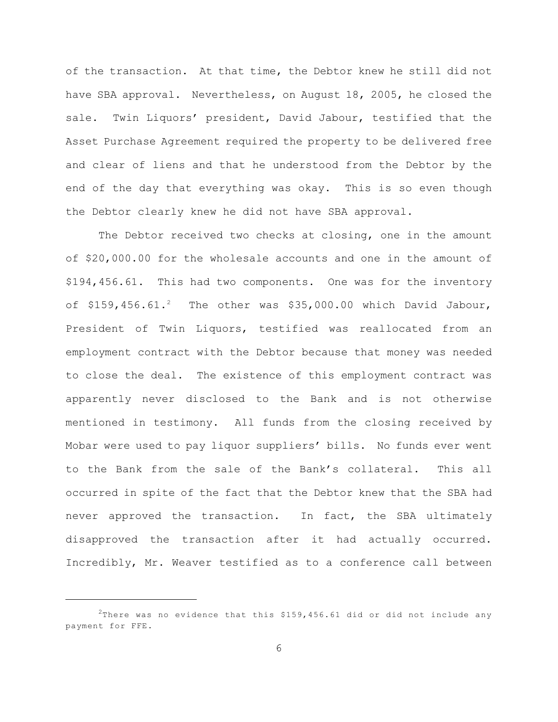of the transaction. At that time, the Debtor knew he still did not have SBA approval. Nevertheless, on August 18, 2005, he closed the sale. Twin Liquors' president, David Jabour, testified that the Asset Purchase Agreement required the property to be delivered free and clear of liens and that he understood from the Debtor by the end of the day that everything was okay. This is so even though the Debtor clearly knew he did not have SBA approval.

The Debtor received two checks at closing, one in the amount of \$20,000.00 for the wholesale accounts and one in the amount of \$194,456.61. This had two components. One was for the inventory of  $$159,456.61.^2$  The other was  $$35,000.00$  which David Jabour, President of Twin Liquors, testified was reallocated from an employment contract with the Debtor because that money was needed to close the deal. The existence of this employment contract was apparently never disclosed to the Bank and is not otherwise mentioned in testimony. All funds from the closing received by Mobar were used to pay liquor suppliers' bills. No funds ever went to the Bank from the sale of the Bank's collateral. This all occurred in spite of the fact that the Debtor knew that the SBA had never approved the transaction. In fact, the SBA ultimately disapproved the transaction after it had actually occurred. Incredibly, Mr. Weaver testified as to a conference call between

<sup>&</sup>lt;sup>2</sup>There was no evidence that this \$159,456.61 did or did not include any payment for FFE.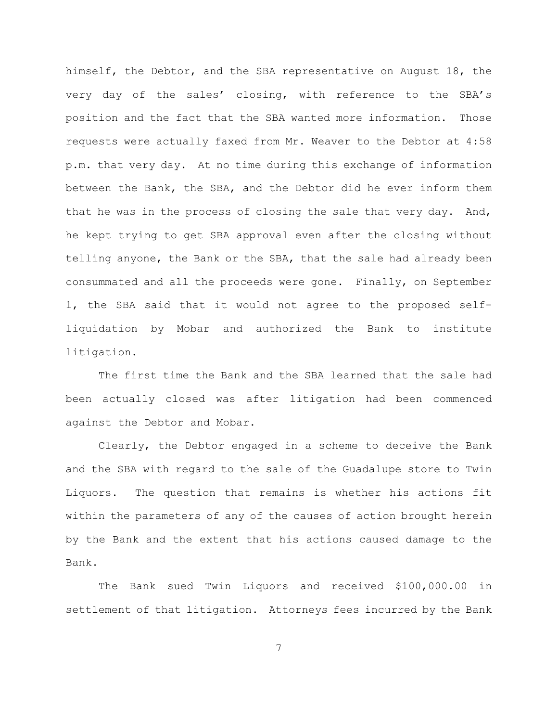himself, the Debtor, and the SBA representative on August 18, the very day of the sales' closing, with reference to the SBA's position and the fact that the SBA wanted more information. Those requests were actually faxed from Mr. Weaver to the Debtor at 4:58 p.m. that very day. At no time during this exchange of information between the Bank, the SBA, and the Debtor did he ever inform them that he was in the process of closing the sale that very day. And, he kept trying to get SBA approval even after the closing without telling anyone, the Bank or the SBA, that the sale had already been consummated and all the proceeds were gone. Finally, on September 1, the SBA said that it would not agree to the proposed selfliquidation by Mobar and authorized the Bank to institute litigation.

The first time the Bank and the SBA learned that the sale had been actually closed was after litigation had been commenced against the Debtor and Mobar.

Clearly, the Debtor engaged in a scheme to deceive the Bank and the SBA with regard to the sale of the Guadalupe store to Twin Liquors. The question that remains is whether his actions fit within the parameters of any of the causes of action brought herein by the Bank and the extent that his actions caused damage to the Bank.

The Bank sued Twin Liquors and received \$100,000.00 in settlement of that litigation. Attorneys fees incurred by the Bank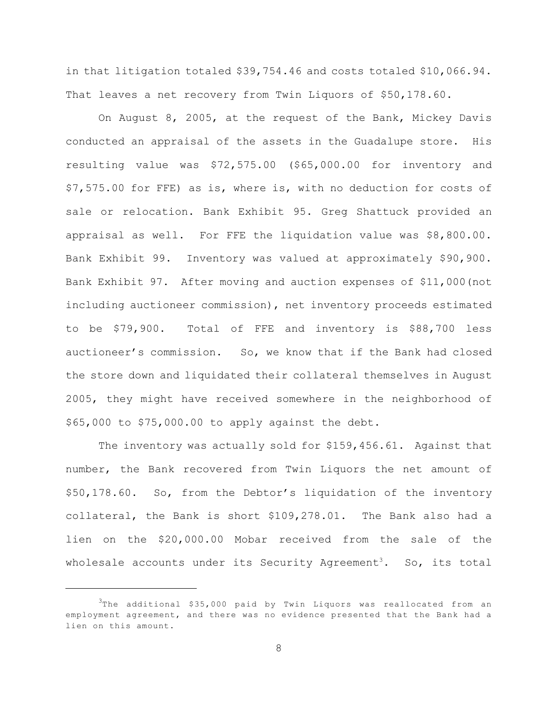in that litigation totaled \$39,754.46 and costs totaled \$10,066.94. That leaves a net recovery from Twin Liquors of \$50,178.60.

On August 8, 2005, at the request of the Bank, Mickey Davis conducted an appraisal of the assets in the Guadalupe store. His resulting value was \$72,575.00 (\$65,000.00 for inventory and \$7,575.00 for FFE) as is, where is, with no deduction for costs of sale or relocation. Bank Exhibit 95. Greg Shattuck provided an appraisal as well. For FFE the liquidation value was \$8,800.00. Bank Exhibit 99. Inventory was valued at approximately \$90,900. Bank Exhibit 97. After moving and auction expenses of \$11,000(not including auctioneer commission), net inventory proceeds estimated to be \$79,900. Total of FFE and inventory is \$88,700 less auctioneer's commission. So, we know that if the Bank had closed the store down and liquidated their collateral themselves in August 2005, they might have received somewhere in the neighborhood of \$65,000 to \$75,000.00 to apply against the debt.

The inventory was actually sold for \$159,456.61. Against that number, the Bank recovered from Twin Liquors the net amount of \$50,178.60. So, from the Debtor's liquidation of the inventory collateral, the Bank is short \$109,278.01. The Bank also had a lien on the \$20,000.00 Mobar received from the sale of the wholesale accounts under its Security Agreement<sup>3</sup>. So, its total

 $3$ The additional \$35,000 paid by Twin Liquors was reallocated from an employment agreement, and there was no evidence presented that the Bank had a lien on this amount.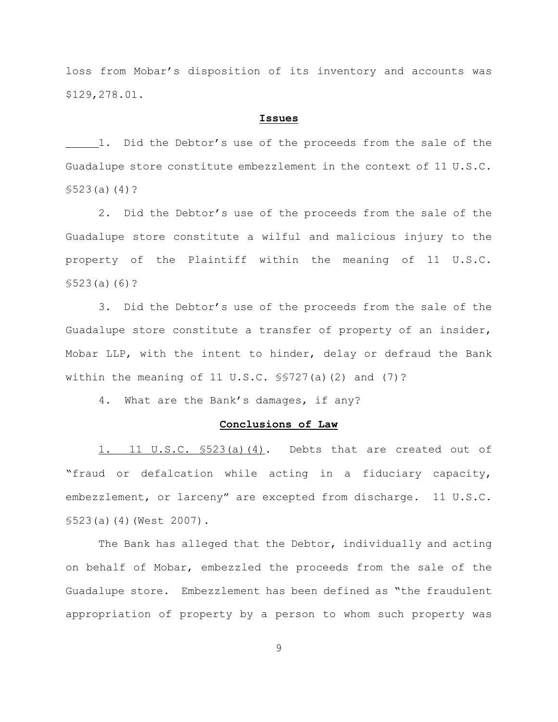loss from Mobar's disposition of its inventory and accounts was \$129,278.01.

#### **Issues**

1. Did the Debtor's use of the proceeds from the sale of the Guadalupe store constitute embezzlement in the context of 11 U.S.C. §523(a)(4)?

2. Did the Debtor's use of the proceeds from the sale of the Guadalupe store constitute a wilful and malicious injury to the property of the Plaintiff within the meaning of 11 U.S.C. §523(a)(6)?

3. Did the Debtor's use of the proceeds from the sale of the Guadalupe store constitute a transfer of property of an insider, Mobar LLP, with the intent to hinder, delay or defraud the Bank within the meaning of 11  $U.S.C.$   $\S$ \$727(a)(2) and (7)?

4. What are the Bank's damages, if any?

## **Conclusions of Law**

1. 11 U.S.C. §523(a)(4)**.** Debts that are created out of "fraud or defalcation while acting in a fiduciary capacity, embezzlement, or larceny" are excepted from discharge. 11 U.S.C. §523(a)(4)(West 2007).

The Bank has alleged that the Debtor, individually and acting on behalf of Mobar, embezzled the proceeds from the sale of the Guadalupe store. Embezzlement has been defined as "the fraudulent appropriation of property by a person to whom such property was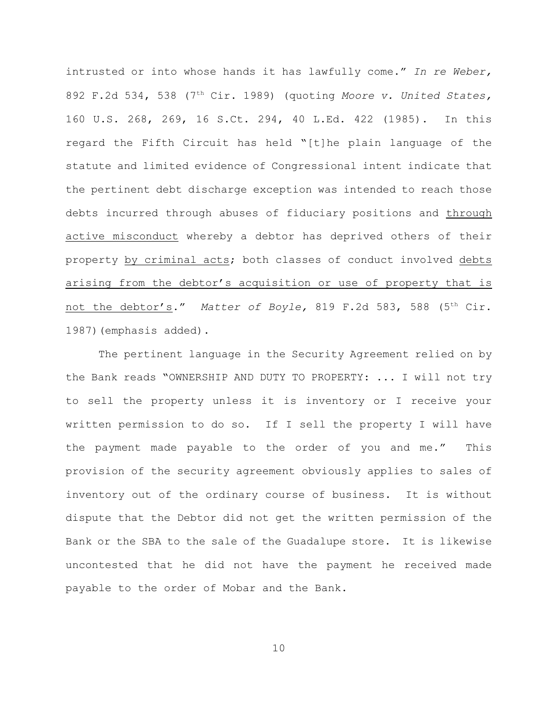intrusted or into whose hands it has lawfully come." *In re Weber,* 892 F.2d 534, 538 (7<sup>th</sup> Cir. 1989) (quoting *Moore v. United States*, 160 U.S. 268, 269, 16 S.Ct. 294, 40 L.Ed. 422 (1985). In this regard the Fifth Circuit has held "[t]he plain language of the statute and limited evidence of Congressional intent indicate that the pertinent debt discharge exception was intended to reach those debts incurred through abuses of fiduciary positions and through active misconduct whereby a debtor has deprived others of their property by criminal acts; both classes of conduct involved debts arising from the debtor's acquisition or use of property that is not the debtor's." Matter of Boyle, 819 F.2d 583, 588 (5<sup>th</sup> Cir. 1987)(emphasis added).

The pertinent language in the Security Agreement relied on by the Bank reads "OWNERSHIP AND DUTY TO PROPERTY: ... I will not try to sell the property unless it is inventory or I receive your written permission to do so. If I sell the property I will have the payment made payable to the order of you and me." This provision of the security agreement obviously applies to sales of inventory out of the ordinary course of business. It is without dispute that the Debtor did not get the written permission of the Bank or the SBA to the sale of the Guadalupe store. It is likewise uncontested that he did not have the payment he received made payable to the order of Mobar and the Bank.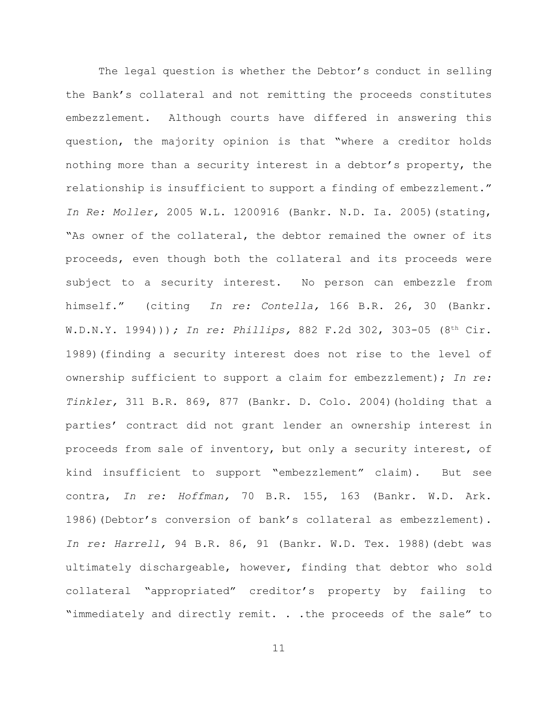The legal question is whether the Debtor's conduct in selling the Bank's collateral and not remitting the proceeds constitutes embezzlement. Although courts have differed in answering this question, the majority opinion is that "where a creditor holds nothing more than a security interest in a debtor's property, the relationship is insufficient to support a finding of embezzlement." *In Re: Moller,* 2005 W.L. 1200916 (Bankr. N.D. Ia. 2005)(stating, "As owner of the collateral, the debtor remained the owner of its proceeds, even though both the collateral and its proceeds were subject to a security interest. No person can embezzle from himself." (citing *In re: Contella,* 166 B.R. 26, 30 (Bankr. W.D.N.Y. 1994))); In re: Phillips, 882 F.2d 302, 303-05 (8<sup>th</sup> Cir. 1989)(finding a security interest does not rise to the level of ownership sufficient to support a claim for embezzlement); *In re: Tinkler,* 311 B.R. 869, 877 (Bankr. D. Colo. 2004)(holding that a parties' contract did not grant lender an ownership interest in proceeds from sale of inventory, but only a security interest, of kind insufficient to support "embezzlement" claim). But see contra, *In re: Hoffman,* 70 B.R. 155, 163 (Bankr. W.D. Ark. 1986)(Debtor's conversion of bank's collateral as embezzlement). *In re: Harrell,* 94 B.R. 86, 91 (Bankr. W.D. Tex. 1988)(debt was ultimately dischargeable, however, finding that debtor who sold collateral "appropriated" creditor's property by failing to "immediately and directly remit. . .the proceeds of the sale" to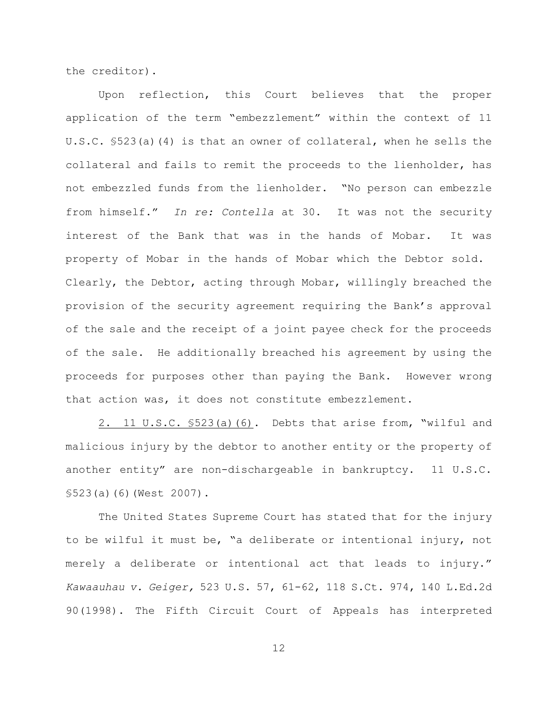the creditor).

Upon reflection, this Court believes that the proper application of the term "embezzlement" within the context of 11 U.S.C. §523(a)(4) is that an owner of collateral, when he sells the collateral and fails to remit the proceeds to the lienholder, has not embezzled funds from the lienholder. "No person can embezzle from himself." *In re: Contella* at 30. It was not the security interest of the Bank that was in the hands of Mobar. It was property of Mobar in the hands of Mobar which the Debtor sold. Clearly, the Debtor, acting through Mobar, willingly breached the provision of the security agreement requiring the Bank's approval of the sale and the receipt of a joint payee check for the proceeds of the sale. He additionally breached his agreement by using the proceeds for purposes other than paying the Bank. However wrong that action was, it does not constitute embezzlement.

2. 11 U.S.C. §523(a)(6). Debts that arise from, "wilful and malicious injury by the debtor to another entity or the property of another entity" are non-dischargeable in bankruptcy. 11 U.S.C. §523(a)(6)(West 2007).

The United States Supreme Court has stated that for the injury to be wilful it must be, "a deliberate or intentional injury, not merely a deliberate or intentional act that leads to injury." *Kawaauhau v. Geiger,* 523 U.S. 57, 61-62, 118 S.Ct. 974, 140 L.Ed.2d 90(1998). The Fifth Circuit Court of Appeals has interpreted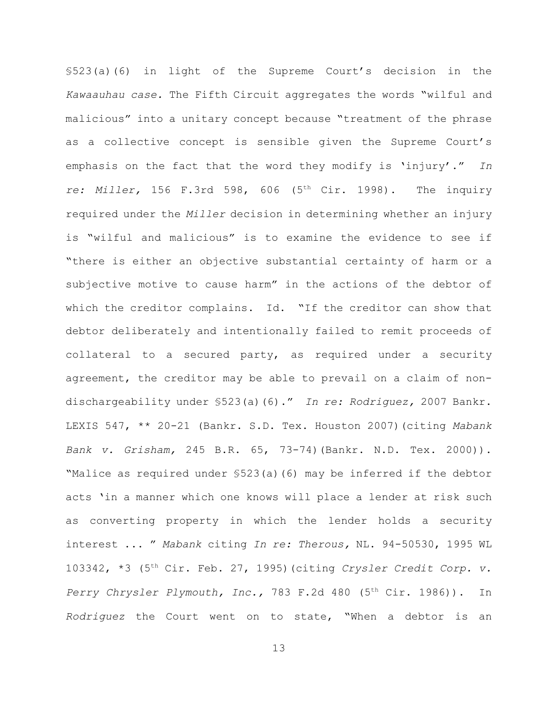§523(a)(6) in light of the Supreme Court's decision in the *Kawaauhau case.* The Fifth Circuit aggregates the words "wilful and malicious" into a unitary concept because "treatment of the phrase as a collective concept is sensible given the Supreme Court's emphasis on the fact that the word they modify is 'injury'." *In re: Miller,* 156 F.3rd 598, 606 (5<sup>th</sup> Cir. 1998). The inquiry required under the *Miller* decision in determining whether an injury is "wilful and malicious" is to examine the evidence to see if "there is either an objective substantial certainty of harm or a subjective motive to cause harm" in the actions of the debtor of which the creditor complains. Id. "If the creditor can show that debtor deliberately and intentionally failed to remit proceeds of collateral to a secured party, as required under a security agreement, the creditor may be able to prevail on a claim of nondischargeability under §523(a)(6)." *In re: Rodriguez,* 2007 Bankr. LEXIS 547, \*\* 20-21 (Bankr. S.D. Tex. Houston 2007)(citing *Mabank Bank v. Grisham,* 245 B.R. 65, 73-74)(Bankr. N.D. Tex. 2000)). "Malice as required under §523(a)(6) may be inferred if the debtor acts 'in a manner which one knows will place a lender at risk such as converting property in which the lender holds a security interest ... " *Mabank* citing *In re: Therous,* NL. 94-50530, 1995 WL 103342, \*3 (5<sup>th</sup> Cir. Feb. 27, 1995)(citing *Crysler Credit Corp. v. Perry Chrysler Plymouth, Inc.,* 783 F.2d 480 (5<sup>th</sup> Cir. 1986)). In *Rodriguez* the Court went on to state, "When a debtor is an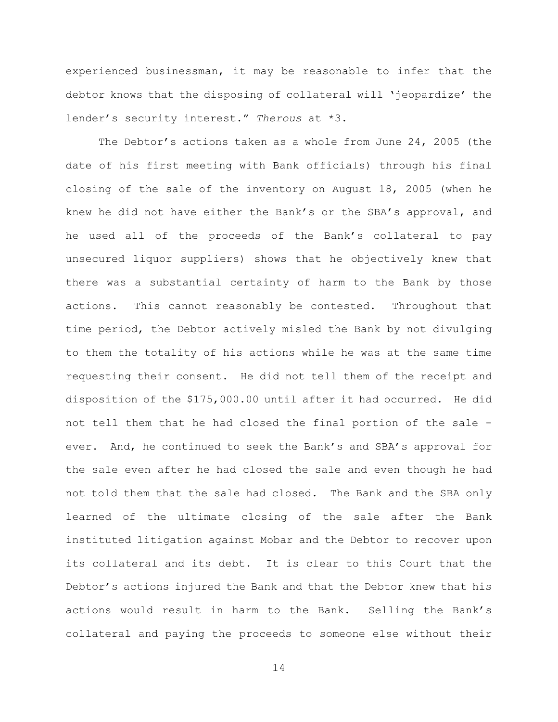experienced businessman, it may be reasonable to infer that the debtor knows that the disposing of collateral will 'jeopardize' the lender's security interest." *Therous* at \*3.

The Debtor's actions taken as a whole from June 24, 2005 (the date of his first meeting with Bank officials) through his final closing of the sale of the inventory on August 18, 2005 (when he knew he did not have either the Bank's or the SBA's approval, and he used all of the proceeds of the Bank's collateral to pay unsecured liquor suppliers) shows that he objectively knew that there was a substantial certainty of harm to the Bank by those actions. This cannot reasonably be contested. Throughout that time period, the Debtor actively misled the Bank by not divulging to them the totality of his actions while he was at the same time requesting their consent. He did not tell them of the receipt and disposition of the \$175,000.00 until after it had occurred. He did not tell them that he had closed the final portion of the sale ever. And, he continued to seek the Bank's and SBA's approval for the sale even after he had closed the sale and even though he had not told them that the sale had closed. The Bank and the SBA only learned of the ultimate closing of the sale after the Bank instituted litigation against Mobar and the Debtor to recover upon its collateral and its debt. It is clear to this Court that the Debtor's actions injured the Bank and that the Debtor knew that his actions would result in harm to the Bank. Selling the Bank's collateral and paying the proceeds to someone else without their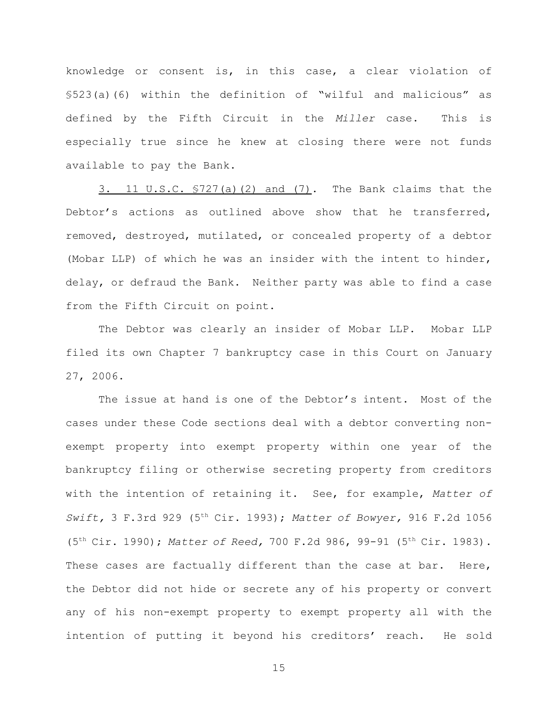knowledge or consent is, in this case, a clear violation of §523(a)(6) within the definition of "wilful and malicious" as defined by the Fifth Circuit in the *Miller* case. This is especially true since he knew at closing there were not funds available to pay the Bank.

3. 11 U.S.C. §727(a)(2) and (7). The Bank claims that the Debtor's actions as outlined above show that he transferred, removed, destroyed, mutilated, or concealed property of a debtor (Mobar LLP) of which he was an insider with the intent to hinder, delay, or defraud the Bank. Neither party was able to find a case from the Fifth Circuit on point.

The Debtor was clearly an insider of Mobar LLP. Mobar LLP filed its own Chapter 7 bankruptcy case in this Court on January 27, 2006.

The issue at hand is one of the Debtor's intent. Most of the cases under these Code sections deal with a debtor converting nonexempt property into exempt property within one year of the bankruptcy filing or otherwise secreting property from creditors with the intention of retaining it. See, for example, *Matter of Swift*, 3 F.3rd 929 (5<sup>th</sup> Cir. 1993); *Matter of Bowyer*, 916 F.2d 1056 (5<sup>th</sup> Cir. 1990); Matter of Reed, 700 F.2d 986, 99-91 (5<sup>th</sup> Cir. 1983). These cases are factually different than the case at bar. Here, the Debtor did not hide or secrete any of his property or convert any of his non-exempt property to exempt property all with the intention of putting it beyond his creditors' reach. He sold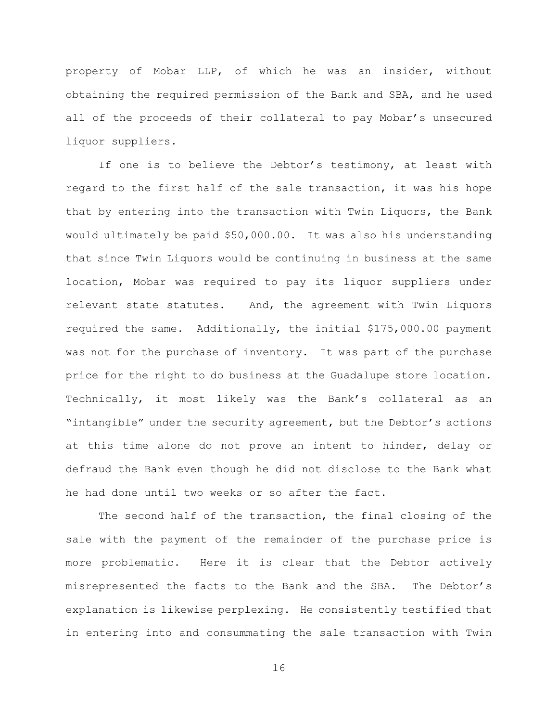property of Mobar LLP, of which he was an insider, without obtaining the required permission of the Bank and SBA, and he used all of the proceeds of their collateral to pay Mobar's unsecured liquor suppliers.

If one is to believe the Debtor's testimony, at least with regard to the first half of the sale transaction, it was his hope that by entering into the transaction with Twin Liquors, the Bank would ultimately be paid \$50,000.00. It was also his understanding that since Twin Liquors would be continuing in business at the same location, Mobar was required to pay its liquor suppliers under relevant state statutes. And, the agreement with Twin Liquors required the same. Additionally, the initial \$175,000.00 payment was not for the purchase of inventory. It was part of the purchase price for the right to do business at the Guadalupe store location. Technically, it most likely was the Bank's collateral as an "intangible" under the security agreement, but the Debtor's actions at this time alone do not prove an intent to hinder, delay or defraud the Bank even though he did not disclose to the Bank what he had done until two weeks or so after the fact.

The second half of the transaction, the final closing of the sale with the payment of the remainder of the purchase price is more problematic. Here it is clear that the Debtor actively misrepresented the facts to the Bank and the SBA. The Debtor's explanation is likewise perplexing. He consistently testified that in entering into and consummating the sale transaction with Twin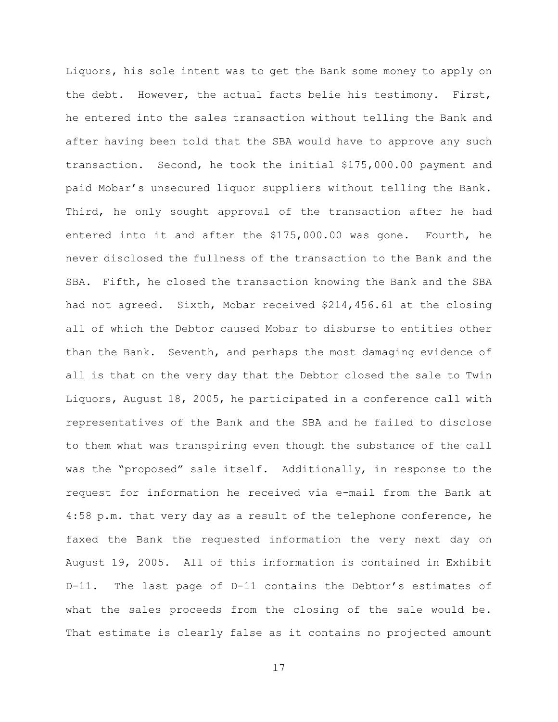Liquors, his sole intent was to get the Bank some money to apply on the debt. However, the actual facts belie his testimony. First, he entered into the sales transaction without telling the Bank and after having been told that the SBA would have to approve any such transaction. Second, he took the initial \$175,000.00 payment and paid Mobar's unsecured liquor suppliers without telling the Bank. Third, he only sought approval of the transaction after he had entered into it and after the \$175,000.00 was gone. Fourth, he never disclosed the fullness of the transaction to the Bank and the SBA. Fifth, he closed the transaction knowing the Bank and the SBA had not agreed. Sixth, Mobar received \$214,456.61 at the closing all of which the Debtor caused Mobar to disburse to entities other than the Bank. Seventh, and perhaps the most damaging evidence of all is that on the very day that the Debtor closed the sale to Twin Liquors, August 18, 2005, he participated in a conference call with representatives of the Bank and the SBA and he failed to disclose to them what was transpiring even though the substance of the call was the "proposed" sale itself. Additionally, in response to the request for information he received via e-mail from the Bank at 4:58 p.m. that very day as a result of the telephone conference, he faxed the Bank the requested information the very next day on August 19, 2005. All of this information is contained in Exhibit D-11. The last page of D-11 contains the Debtor's estimates of what the sales proceeds from the closing of the sale would be. That estimate is clearly false as it contains no projected amount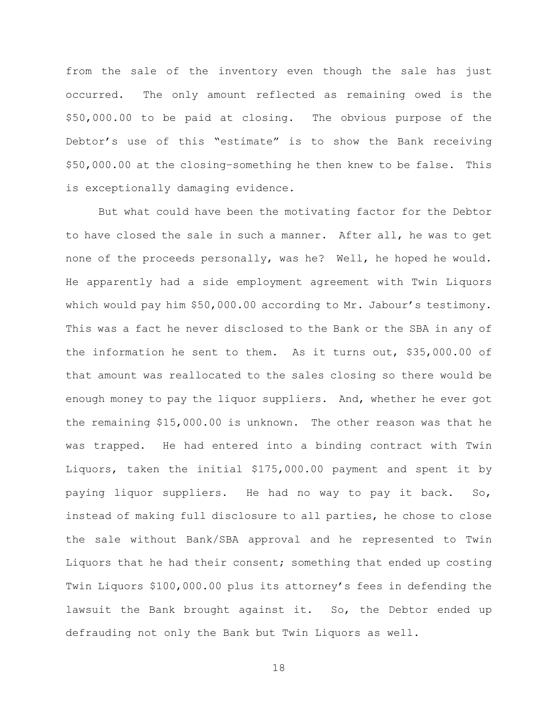from the sale of the inventory even though the sale has just occurred. The only amount reflected as remaining owed is the \$50,000.00 to be paid at closing. The obvious purpose of the Debtor's use of this "estimate" is to show the Bank receiving \$50,000.00 at the closing–something he then knew to be false. This is exceptionally damaging evidence.

But what could have been the motivating factor for the Debtor to have closed the sale in such a manner. After all, he was to get none of the proceeds personally, was he? Well, he hoped he would. He apparently had a side employment agreement with Twin Liquors which would pay him \$50,000.00 according to Mr. Jabour's testimony. This was a fact he never disclosed to the Bank or the SBA in any of the information he sent to them. As it turns out, \$35,000.00 of that amount was reallocated to the sales closing so there would be enough money to pay the liquor suppliers. And, whether he ever got the remaining \$15,000.00 is unknown. The other reason was that he was trapped. He had entered into a binding contract with Twin Liquors, taken the initial \$175,000.00 payment and spent it by paying liquor suppliers. He had no way to pay it back. So, instead of making full disclosure to all parties, he chose to close the sale without Bank/SBA approval and he represented to Twin Liquors that he had their consent; something that ended up costing Twin Liquors \$100,000.00 plus its attorney's fees in defending the lawsuit the Bank brought against it. So, the Debtor ended up defrauding not only the Bank but Twin Liquors as well.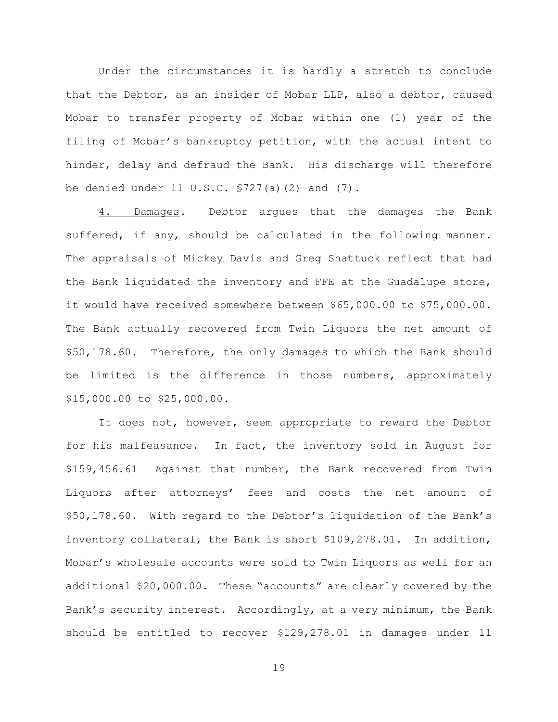Under the circumstances it is hardly a stretch to conclude that the Debtor, as an insider of Mobar LLP, also a debtor, caused Mobar to transfer property of Mobar within one (1) year of the filing of Mobar's bankruptcy petition, with the actual intent to hinder, delay and defraud the Bank. His discharge will therefore be denied under 11 U.S.C. §727(a)(2) and (7).

4. Damages. Debtor argues that the damages the Bank suffered, if any, should be calculated in the following manner. The appraisals of Mickey Davis and Greg Shattuck reflect that had the Bank liquidated the inventory and FFE at the Guadalupe store, it would have received somewhere between \$65,000.00 to \$75,000.00. The Bank actually recovered from Twin Liquors the net amount of \$50,178.60. Therefore, the only damages to which the Bank should be limited is the difference in those numbers, approximately \$15,000.00 to \$25,000.00.

It does not, however, seem appropriate to reward the Debtor for his malfeasance. In fact, the inventory sold in August for \$159,456.61 Against that number, the Bank recovered from Twin Liquors after attorneys' fees and costs the net amount of \$50,178.60. With regard to the Debtor's liquidation of the Bank's inventory collateral, the Bank is short \$109,278.01. In addition, Mobar's wholesale accounts were sold to Twin Liquors as well for an additional \$20,000.00. These "accounts" are clearly covered by the Bank's security interest. Accordingly, at a very minimum, the Bank should be entitled to recover \$129,278.01 in damages under 11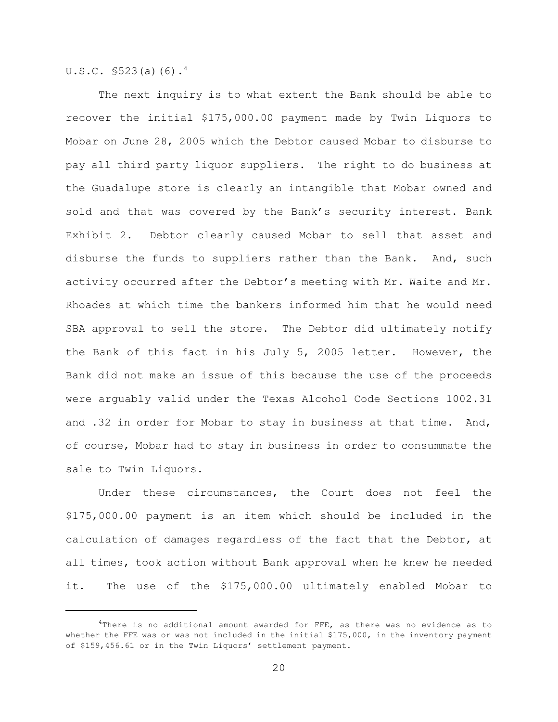$U.S.C.$  §523(a)(6).<sup>4</sup>

The next inquiry is to what extent the Bank should be able to recover the initial \$175,000.00 payment made by Twin Liquors to Mobar on June 28, 2005 which the Debtor caused Mobar to disburse to pay all third party liquor suppliers. The right to do business at the Guadalupe store is clearly an intangible that Mobar owned and sold and that was covered by the Bank's security interest. Bank Exhibit 2. Debtor clearly caused Mobar to sell that asset and disburse the funds to suppliers rather than the Bank. And, such activity occurred after the Debtor's meeting with Mr. Waite and Mr. Rhoades at which time the bankers informed him that he would need SBA approval to sell the store. The Debtor did ultimately notify the Bank of this fact in his July 5, 2005 letter. However, the Bank did not make an issue of this because the use of the proceeds were arguably valid under the Texas Alcohol Code Sections 1002.31 and .32 in order for Mobar to stay in business at that time. And, of course, Mobar had to stay in business in order to consummate the sale to Twin Liquors.

Under these circumstances, the Court does not feel the \$175,000.00 payment is an item which should be included in the calculation of damages regardless of the fact that the Debtor, at all times, took action without Bank approval when he knew he needed it. The use of the \$175,000.00 ultimately enabled Mobar to

 $4$ There is no additional amount awarded for FFE, as there was no evidence as to whether the FFE was or was not included in the initial \$175,000, in the inventory payment of \$159,456.61 or in the Twin Liquors' settlement payment.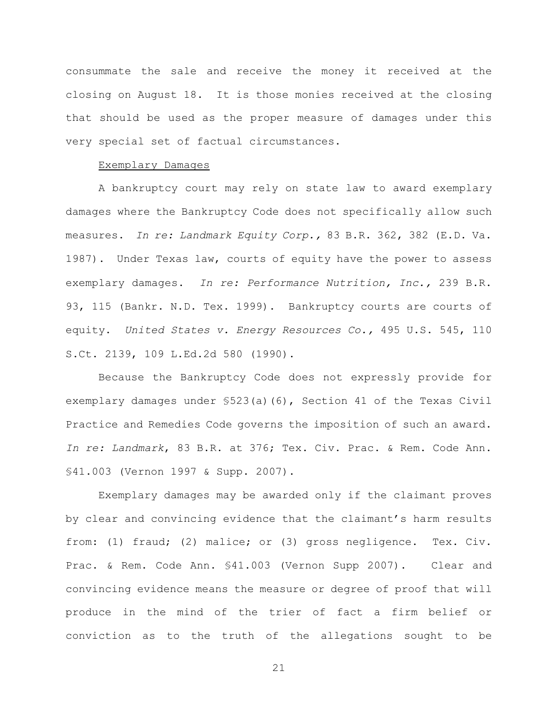consummate the sale and receive the money it received at the closing on August 18. It is those monies received at the closing that should be used as the proper measure of damages under this very special set of factual circumstances.

# Exemplary Damages

A bankruptcy court may rely on state law to award exemplary damages where the Bankruptcy Code does not specifically allow such measures. *In re: Landmark Equity Corp.,* 83 B.R. 362, 382 (E.D. Va. 1987). Under Texas law, courts of equity have the power to assess exemplary damages. *In re: Performance Nutrition, Inc.,* 239 B.R. 93, 115 (Bankr. N.D. Tex. 1999). Bankruptcy courts are courts of equity. *United States v. Energy Resources Co.,* 495 U.S. 545, 110 S.Ct. 2139, 109 L.Ed.2d 580 (1990).

Because the Bankruptcy Code does not expressly provide for exemplary damages under §523(a)(6), Section 41 of the Texas Civil Practice and Remedies Code governs the imposition of such an award. *In re: Landmark*, 83 B.R. at 376; Tex. Civ. Prac. & Rem. Code Ann. §41.003 (Vernon 1997 & Supp. 2007).

Exemplary damages may be awarded only if the claimant proves by clear and convincing evidence that the claimant's harm results from: (1) fraud; (2) malice; or (3) gross negligence. Tex. Civ. Prac. & Rem. Code Ann. §41.003 (Vernon Supp 2007). Clear and convincing evidence means the measure or degree of proof that will produce in the mind of the trier of fact a firm belief or conviction as to the truth of the allegations sought to be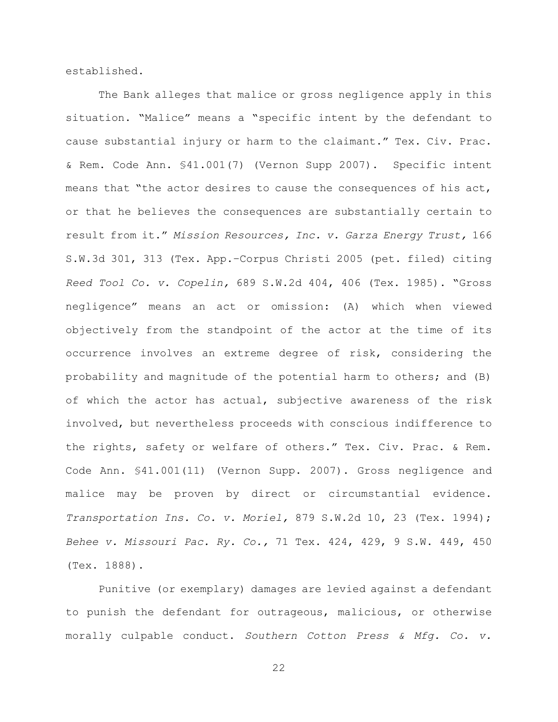established.

The Bank alleges that malice or gross negligence apply in this situation. "Malice" means a "specific intent by the defendant to cause substantial injury or harm to the claimant." Tex. Civ. Prac. & Rem. Code Ann. §41.001(7) (Vernon Supp 2007). Specific intent means that "the actor desires to cause the consequences of his act, or that he believes the consequences are substantially certain to result from it." *Mission Resources, Inc. v. Garza Energy Trust,* 166 S.W.3d 301, 313 (Tex. App.–Corpus Christi 2005 (pet. filed) citing *Reed Tool Co. v. Copelin,* 689 S.W.2d 404, 406 (Tex. 1985). "Gross negligence" means an act or omission: (A) which when viewed objectively from the standpoint of the actor at the time of its occurrence involves an extreme degree of risk, considering the probability and magnitude of the potential harm to others; and (B) of which the actor has actual, subjective awareness of the risk involved, but nevertheless proceeds with conscious indifference to the rights, safety or welfare of others." Tex. Civ. Prac. & Rem. Code Ann. §41.001(11) (Vernon Supp. 2007). Gross negligence and malice may be proven by direct or circumstantial evidence. *Transportation Ins. Co. v. Moriel,* 879 S.W.2d 10, 23 (Tex. 1994); *Behee v. Missouri Pac. Ry. Co.,* 71 Tex. 424, 429, 9 S.W. 449, 450 (Tex. 1888).

Punitive (or exemplary) damages are levied against a defendant to punish the defendant for outrageous, malicious, or otherwise morally culpable conduct. *Southern Cotton Press & Mfg. Co. v.*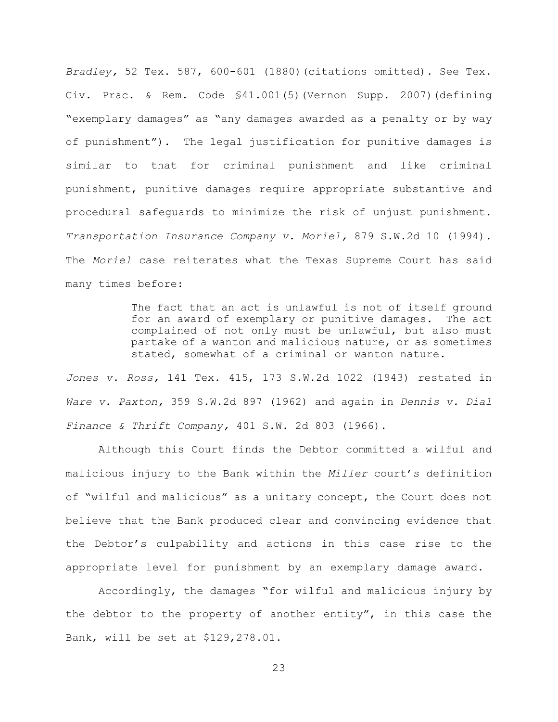*Bradley,* 52 Tex. 587, 600-601 (1880)(citations omitted). See Tex. Civ. Prac. & Rem. Code §41.001(5)(Vernon Supp. 2007)(defining "exemplary damages" as "any damages awarded as a penalty or by way of punishment"). The legal justification for punitive damages is similar to that for criminal punishment and like criminal punishment, punitive damages require appropriate substantive and procedural safeguards to minimize the risk of unjust punishment. *Transportation Insurance Company v. Moriel,* 879 S.W.2d 10 (1994). The *Moriel* case reiterates what the Texas Supreme Court has said many times before:

> The fact that an act is unlawful is not of itself ground for an award of exemplary or punitive damages. The act complained of not only must be unlawful, but also must partake of a wanton and malicious nature, or as sometimes stated, somewhat of a criminal or wanton nature.

*Jones v. Ross,* 141 Tex. 415, 173 S.W.2d 1022 (1943) restated in *Ware v. Paxton,* 359 S.W.2d 897 (1962) and again in *Dennis v. Dial Finance & Thrift Company,* 401 S.W. 2d 803 (1966).

Although this Court finds the Debtor committed a wilful and malicious injury to the Bank within the *Miller* court's definition of "wilful and malicious" as a unitary concept, the Court does not believe that the Bank produced clear and convincing evidence that the Debtor's culpability and actions in this case rise to the appropriate level for punishment by an exemplary damage award.

Accordingly, the damages "for wilful and malicious injury by the debtor to the property of another entity", in this case the Bank, will be set at \$129,278.01.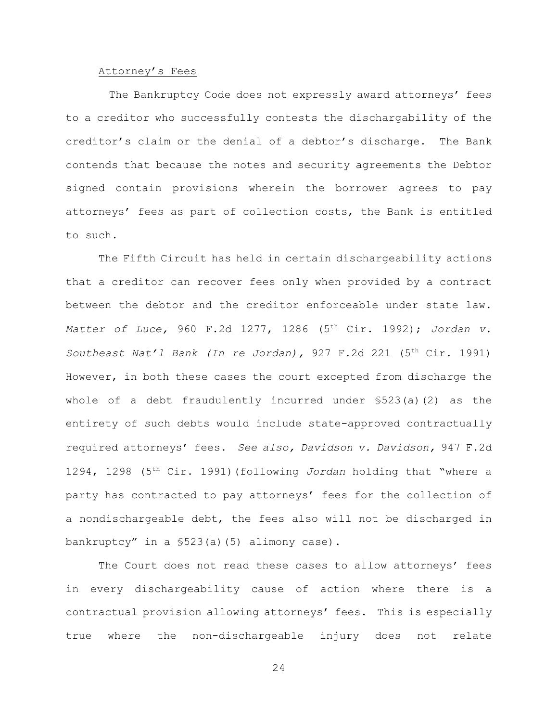## Attorney's Fees

 The Bankruptcy Code does not expressly award attorneys' fees to a creditor who successfully contests the dischargability of the creditor's claim or the denial of a debtor's discharge. The Bank contends that because the notes and security agreements the Debtor signed contain provisions wherein the borrower agrees to pay attorneys' fees as part of collection costs, the Bank is entitled to such.

The Fifth Circuit has held in certain dischargeability actions that a creditor can recover fees only when provided by a contract between the debtor and the creditor enforceable under state law. *Matter of Luce, 960 F.2d 1277, 1286 (5<sup>th</sup> Cir. 1992); Jordan v. Southeast Nat'l Bank (In re Jordan),* 927 F.2d 221 (5<sup>th</sup> Cir. 1991) However, in both these cases the court excepted from discharge the whole of a debt fraudulently incurred under §523(a)(2) as the entirety of such debts would include state-approved contractually required attorneys' fees. *See also, Davidson v. Davidson,* 947 F.2d 1294, 1298 (5<sup>th</sup> Cir. 1991)(following *Jordan* holding that "where a party has contracted to pay attorneys' fees for the collection of a nondischargeable debt, the fees also will not be discharged in bankruptcy" in a §523(a)(5) alimony case).

The Court does not read these cases to allow attorneys' fees in every dischargeability cause of action where there is a contractual provision allowing attorneys' fees. This is especially true where the non-dischargeable injury does not relate